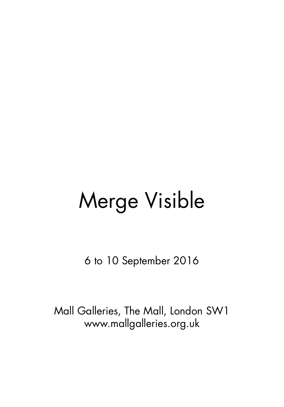# Merge Visible

6 to 10 September 2016

Mall Galleries, The Mall, London SW1 www.mallgalleries.org.uk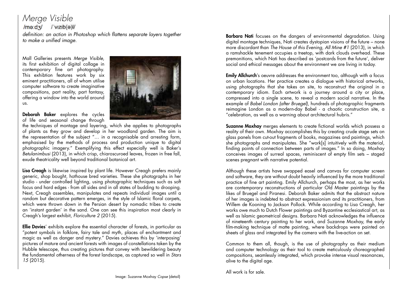*Merge Visible* /me:dx/ /'vizib(a)l/ *definition: an action in Photoshop which flattens separate layers together to make a unified image.*

Mall Galleries presents *Merge Visible*, its first exhibition of digital collage in contemporary fine art photography. This exhibtion features work by six eminent practitioners, all of whom utilise computer software to create imaginative compositions, part reality, part fantasy, offering a window into the world around us.



Deborah Baker explores the cycles of life and seasonal change through

the techniques of montage and layering, which she applies to photographs of plants as they grow and develop in her woodland garden. The aim is the representation of the subject "… in a recognisable and arresting form, emphasised by the methods of process and production unique to digital photographic imagery." Exemplifying this effect especially well is Baker's *Betulanimbusi* (2013), in which crisp, chiaroscuroed leaves, frozen in free fall, exude theatricality well beyond traditional botanical art.

Lisa Creagh is likewise inspired by plant life. However Creagh prefers mainly generic, shop bought, hothouse bred varieties. These she photographs in her studio - under controlled lighting, using photographic techniques such as soft focus and hard edges - from all sides and in all states of budding to drooping. Next, Creagh assembles, manipulates and repeats individual images until a random but decorative pattern emerges, in the style of Islamic floral carpets, which were thrown down in the Persian desert by nomadic tribes to create an 'instant garden' in the sand. One can see this inspiration most clearly in Creagh's largest exhibit, *Floriculture 2* (2015).

Ellie Davies' exhibits explore the essential character of forests, in particular as "potent symbols in folklore, fairy tale and myth, places of enchantment and magic as well as danger and mystery." Davies achieves this by 'interposing' pictures of mature and ancient forests with images of constellations taken by the Hubble telescope, thus creating pictures that convey with bewildering beauty the fundamental otherness of the forest landscape, as captured so well in *Stars 15* (2015).

Barbara Nati focuses on the dangers of environmental degradation. Using digital montage techniques, Nati creates dystopian visions of the future – none more discordant than *The House of this Evening, All Mine #1* (2013), in which a ramshackle tenement occupies a treetop, with dark clouds overhead. These premonitions, which Nati has described as 'postcards from the future', deliver social and ethical messages about the environment we are living in today.

Emily Allchurch's oeuvre addresses the environment too, although with a focus on urban locations. Her practice creates a dialogue with historical artworks, using photographs that she takes on site, to reconstruct the original in a contemporary idiom. Each artwork is a journey around a city or place, compressed into a single scene, to reveal a modern social narrative. In the example of *Babel London (after Bruegel)*, hundreds of photographic fragments reimagine London as a modern-day Babel - a chaotic construction site, a "celebration, as well as a warning about architectural hubris."

Suzanne Moxhay merges elements to create fictional worlds which possess a reality of their own. Moxhay accomplishes this by creating crude stage sets on glass panels from cut-out fragments of books, magazines and paintings, which she photographs and manipulates. She "work[s] intuitively with the material, finding points of connection between parts of images." In so doing, Moxhay conceives images of surreal spaces, reminiscent of empty film sets – staged scenes pregnant with narrative potential.

Although these artists have swapped easel and canvas for computer screen and software, they are without doubt heavily influenced by the more traditional practice of fine art painting. Emily Allchurch, perhaps the most, as her works are contemporary reconstructions of particular Old Master paintings by the likes of Bruegel and Piranesi. Deborah Baker admits that the abstract nature of her images is indebted to abstract expressionism and its practitioners, from Willem de Kooning to Jackson Pollock. While according to Lisa Creagh, her works owe much to Dutch Flower paintings and Byzantine ecclesiastical art, as well as Islamic geometrical designs. Barbara Nati acknowledges the influence of nineteenth century painting to her work, and Suzanne Moxhay, the early film-making technique of matte painting, where backdrops were painted on sheets of glass and integrated by the camera with the live-action on set.

Common to them all, though, is the use of photography as their medium and computer technology as their tool to create meticulously choreographed compositions, seamlessly integrated, which provoke intense visual resonances, alive to the digital age.

All work is for sale.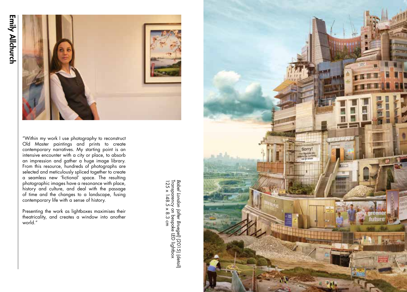

"Within my work I use photography to reconstruct Old Master paintings and prints to create contemporary narratives. My starting point is an intensive encounter with a city or place, to absorb an impression and gather a huge image library. From this resource, hundreds of photographs are selected and meticulously spliced together to create a seamless new 'fictional' space. The resulting photographic images have a resonance with place, history and culture, and deal with the passage of time and the changes to a landscape, fusing contemporary life with a sense of history.

Presenting the work as lightboxes maximises their theatricality, and creates a window into another world."

Babel London (after Bruegel) [2015] (detail)<br>Transparency on bespoke LED lightbox<br>125 x 148.5 x 8.3 cm Transparency on bespoke LED lightbox*Babel London (after Bruegel)*125 x 148.5 x 8.3 cm (2015) (detail)

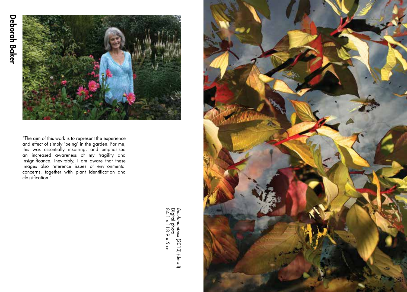

"The aim of this work is to represent the experience and effect of simply 'being' in the garden. For me, this was essentially inspiring, and emphasised an increased awareness of my fragility and insignificance. Inevitably, I am aware that these images also reference issues of environmental concerns, together with plant identification and classification."

> Betulanumbusi (2013) (detail)<br>Digital photo<br>84.1 x 118.9 x 5 cm 84.1 x 118.9 x 5 cm Digital photo *Betulanumbusi* (2013) (detail)

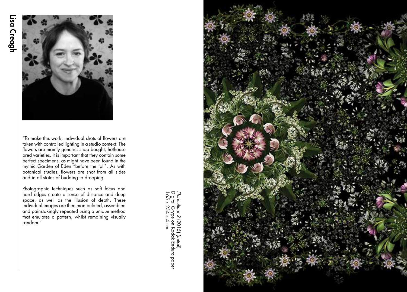

"To make this work, individual shots of flowers are taken with controlled lighting in a studio context. The flowers are mainly generic, shop bought, hothouse bred varieties. It is important that they contain some perfect specimens, as might have been found in the mythic Garden of Eden "before the fall". As with botanical studies, flowers are shot from all sides and in all states of budding to drooping.

Photographic techniques such as soft focus and hard edges create a sense of distance and deep space, as well as the illusion of depth. These individual images are then manipulated, assembled and painstakingly repeated using a unique method that emulates a pattern, whilst remaining visually random."

Floriculture 2 (2015) (detail)<br>Digital C+ype on Kodak Endura paper<br>165 x 254 x 4 cm Digital C-type on Kodak Endura paper *Floriculture 2* (2015) (detail) 165 x 254 x 4 cm

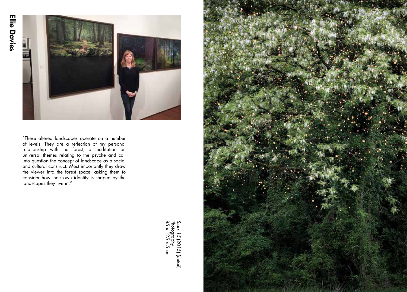

"These altered landscapes operate on a number of levels. They are a reflection of my personal relationship with the forest, a meditation on universal themes relating to the psyche and call into question the concept of landscape as a social and cultural construct. Most importantly they draw the viewer into the forest space, asking them to consider how their own identity is shaped by the landscapes they live in."

> *Stars 15* Photography (2015) (detail) 85 x 125 x 5 cm

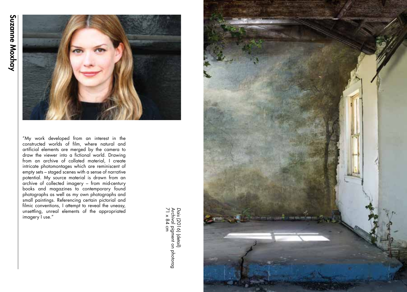

"My work developed from an interest in the constructed worlds of film, where natural and artificial elements are merged by the camera to draw the viewer into a fictional world. Drawing from an archive of collated material, I create intricate photomontages which are reminiscent of empty sets – staged scenes with a sense of narrative potential. My source material is drawn from an archive of collected imagery – from mid-century books and magazines to contemporary found photographs as well as my own photographs and small paintings. Referencing certain pictorial and filmic conventions, I attempt to reveal the uneasy, unsettling, unreal elements of the appropriated imagery I use."

*Dais [2016) (detail)<br>Archival pigment on photorag<br>71 x 84 cm*  (2016) (detail) 71 x 84 cm Archival pigment on photorag

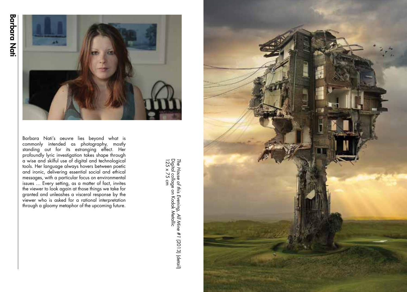

Barbara Nati's oeuvre lies beyond what is commonly intended as photography, mostly standing out for its estranging effect. Her profoundly lyric investigation takes shape through a wise and skilful use of digital and technological tools. Her language always hovers between poetic and ironic, delivering essential social and ethical messages, with a particular focus on environmental issues … Every setting, as a matter of fact, invites the viewer to look again at those things we take for granted and unleashes a visceral response by the viewer who is asked for a rational interpretation through a gloomy metaphor of the upcoming future.

The House of this Evening, All Mine #1 (2013) (detail)<br>Digital collage on Kodak Metallic<br>125 x 75 cm Digital collage on Kodak Metallic *The House of this Evening, All Mine #1*125 x 75 cm (2013) (detail)